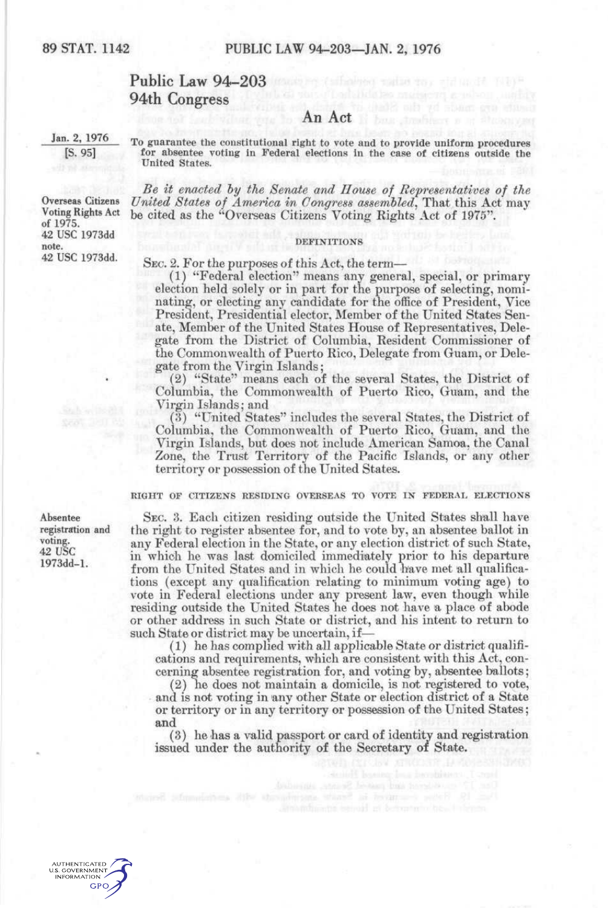# Public Law 94-203 94th Congress

# $\mathbf{A}$ n  $\mathbf{A}$ ct is an Act in the construction

Jan. 2, 1976 [S. 95]

Overseas Citizens Voting Rights Act of 1975. 42 use 1973dd

42 use 1973dd.

note.

To guarantee the constitutional right to vote and to provide uniform procedures for absentee voting in Federal elections in the case of citizens outside the United States.

*Be it enacted hy the Senate and House of Representatives of the*  United States of America in Congress assembled<sup>2</sup>, That this Act may be cited as the "Overseas Citizens Voting Eights Act of 1975".

## **DEFINITIONS**

SEC. 2. For the purposes of this Act, the term—

(1^ "Federal election" means any general, special, or primary election held solely or in part for the purpose of selecting, nominating, or electing any candidate for the office of President, Vice President, Presidential elector. Member of the United States Senate, Member of the United States House of Representatives, Delegate from the District of Columbia, Resident Commissioner of the Commonwealth of Puerto Rico, Delegate from Guam, or Delegate from the Virgin Islands;

(2) "State " means each of the several States, the District of Columbia, the Commonwealth of Puerto Rico, Guam, and the Virgin Islands; and

(3) "United States" includes the several States, the District of Columbia, the Commonwealth of Puerto Rico, Guam, and the Virgin Islands, but does not include American Samoa, the Canal Zone, the Trust Territory of the Pacific Islands, or any other territory or possession of the United States.

RIGHT OF CITIZENS RESIDING OVERSEAS TO VOTE IN FEDERAL ELECTIONS

SEC. 3. Each citizen residing outside the United States shall have the right to register absentee for, and to vote by, an absentee ballot in any Federal election in the State, or any election district of such State, in which he was last domiciled immediately prior to his departure from the United States and in which he could have met all qualifications (except any qualification relating to minimum voting age) to vote in Federal elections under any present law, even though while residing outside the United States he does not have a place of abode or other address in such State or district, and his intent to return to such State or district may be uncertain, if—

(1) he has complied with all applicable State or district qualifications and requirements, which are consistent with this Act, concerning absentee registration for, and voting by, absentee ballots;

(2) he does not maintain a domicile, is not registered to vote, and is not voting in any other State or election district of a State or territory or in any territory or possession of the United States; and

(3) he has a valid passport or card of identity and registration issued under the authority of the Secretary of State.

Absentee registration and voting. 42 USC 1973dd-l.

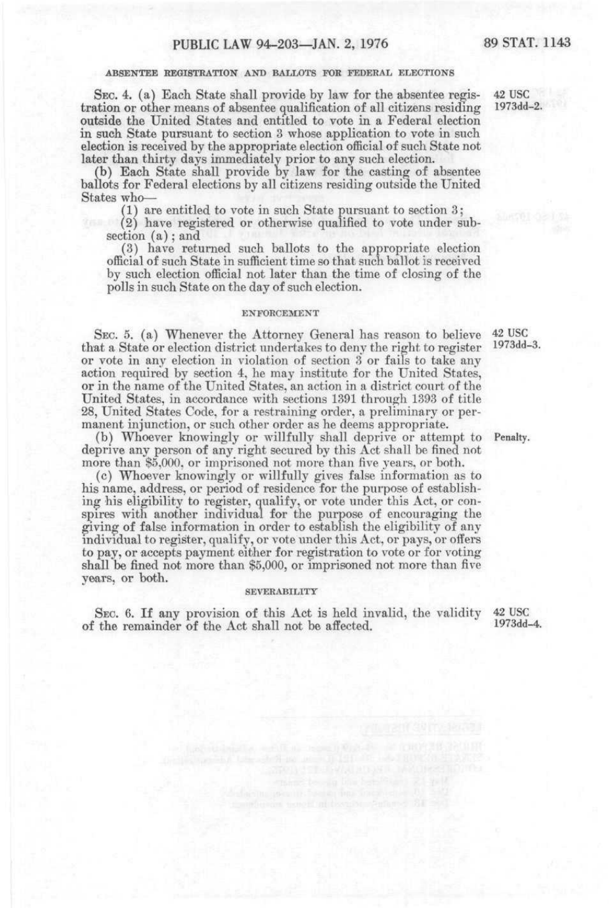## ABSENTEE REGISTRATION AND BALLOTS FOR FEDERAL ELECTIONS

SEC. 4. (a) Each State shall provide by law for the absentee registration or other means of absentee qualification of all citizens residing outside the United States and entitled to vote in a Federal election in such State pursuant to section 3 whose application to vote in such election is received by the appropriate election official of such State not later than thirty days immediately prior to any such election.

(b) Each State shall provide by law for the casting of absentee ballots for Federal elections by all citizens residing outside the United States who—

(1) are entitled to vote in such State pursuant to section 3;

(2) have registered or otherwise qualified to vote under subsection  $(a)$ ; and

(3) have returned such ballots to the appropriate election official of such State in sufficient time so that such ballot is received by such election official not later than the time of closing of the polls in such State on the day of such election.

### ENFORCEMENT

SEC. 5. (a) Whenever the Attorney General has reason to believe that a State or election district undertakes to deny the right to register or vote in any election in violation of section 3 or fails to take any action required by section 4, he may institute for the United States, or in the name of the United States, an action in a district court of the United States, in accordance with sections 1391 through 1393 of title 28, United States Code, for a restraining order, a preliminary or permanent injunction, or such other order as he deems appropriate.

(b) Whoever knowingly or willfully shall deprive or attempt to Penalty. deprive any person of any right secured by this Act shall be fined not more than \$5,000, or imprisoned not more than five years, or both.

(c) Whoever knowingly or willfully gives false information as to his name, address, or period of residence for the purpose of establishing his eligibility to register, qualify, or vote under this Act, or conspires with another individual for the purpose of encouraging the giving of false information in order to establish the eligibility of any individual to register, qualify, or vote under this Act, or pays, or offers to pay, or accepts payment either for registration to vote or for voting shall be fined not more than \$5,000, or imprisoned not more than five years, or both.

#### **SEVERABILITY**

SEC. 6. If any provision of this Act is held invalid, the validity of the remainder of the Act shall not be affected.

42 use 1973dd-4.

42 use 1973dd-2.

42 use 1973dd-3.